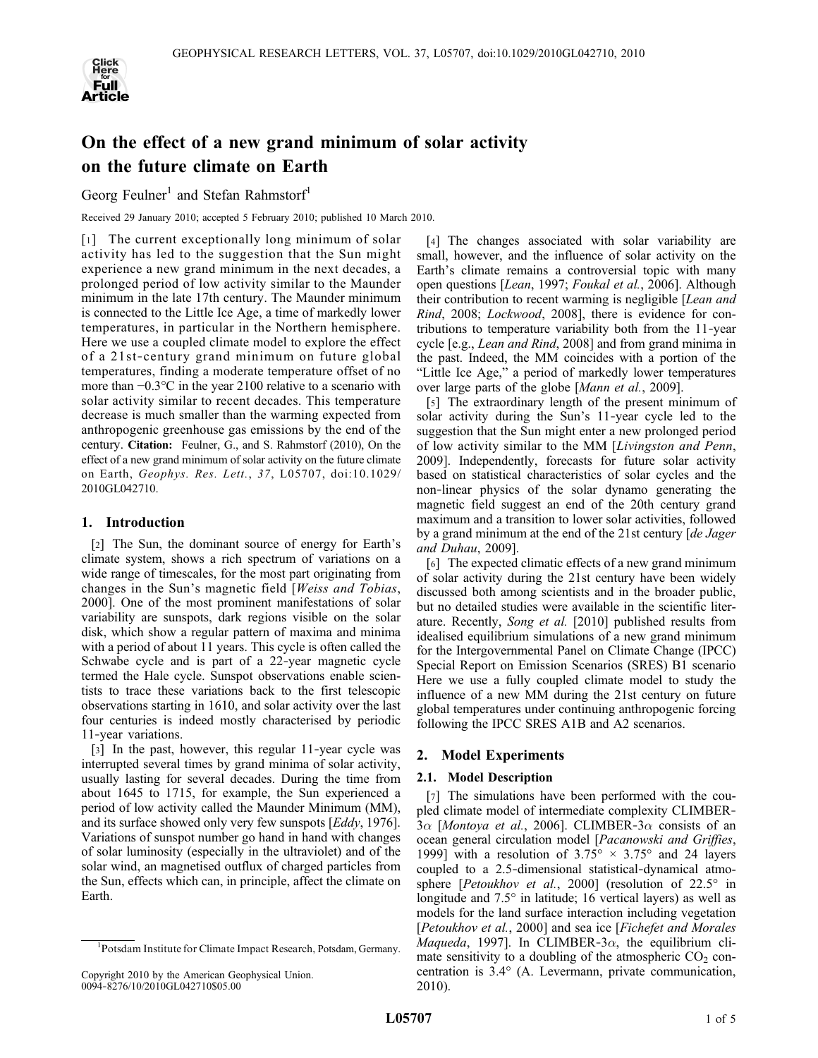

# On the effect of a new grand minimum of solar activity on the future climate on Earth

Georg Feulner<sup>1</sup> and Stefan Rahmstorf<sup>1</sup>

Received 29 January 2010; accepted 5 February 2010; published 10 March 2010.

[1] The current exceptionally long minimum of solar activity has led to the suggestion that the Sun might experience a new grand minimum in the next decades, a prolonged period of low activity similar to the Maunder minimum in the late 17th century. The Maunder minimum is connected to the Little Ice Age, a time of markedly lower temperatures, in particular in the Northern hemisphere. Here we use a coupled climate model to explore the effect of a 21st‐century grand minimum on future global temperatures, finding a moderate temperature offset of no more than −0.3°C in the year 2100 relative to a scenario with solar activity similar to recent decades. This temperature decrease is much smaller than the warming expected from anthropogenic greenhouse gas emissions by the end of the century. Citation: Feulner, G., and S. Rahmstorf (2010), On the effect of a new grand minimum of solar activity on the future climate on Earth, Geophys. Res. Lett., 37, L05707, doi:10.1029/ 2010GL042710.

# 1. Introduction

[2] The Sun, the dominant source of energy for Earth's climate system, shows a rich spectrum of variations on a wide range of timescales, for the most part originating from changes in the Sun's magnetic field [Weiss and Tobias, 2000]. One of the most prominent manifestations of solar variability are sunspots, dark regions visible on the solar disk, which show a regular pattern of maxima and minima with a period of about 11 years. This cycle is often called the Schwabe cycle and is part of a 22‐year magnetic cycle termed the Hale cycle. Sunspot observations enable scientists to trace these variations back to the first telescopic observations starting in 1610, and solar activity over the last four centuries is indeed mostly characterised by periodic 11‐year variations.

[3] In the past, however, this regular 11-year cycle was interrupted several times by grand minima of solar activity, usually lasting for several decades. During the time from about 1645 to 1715, for example, the Sun experienced a period of low activity called the Maunder Minimum (MM), and its surface showed only very few sunspots [Eddy, 1976]. Variations of sunspot number go hand in hand with changes of solar luminosity (especially in the ultraviolet) and of the solar wind, an magnetised outflux of charged particles from the Sun, effects which can, in principle, affect the climate on Earth.

[4] The changes associated with solar variability are small, however, and the influence of solar activity on the Earth's climate remains a controversial topic with many open questions [Lean, 1997; Foukal et al., 2006]. Although their contribution to recent warming is negligible [Lean and Rind, 2008; Lockwood, 2008], there is evidence for contributions to temperature variability both from the 11‐year cycle [e.g., Lean and Rind, 2008] and from grand minima in the past. Indeed, the MM coincides with a portion of the "Little Ice Age," a period of markedly lower temperatures over large parts of the globe [Mann et al., 2009].

[5] The extraordinary length of the present minimum of solar activity during the Sun's 11‐year cycle led to the suggestion that the Sun might enter a new prolonged period of low activity similar to the MM [Livingston and Penn, 2009]. Independently, forecasts for future solar activity based on statistical characteristics of solar cycles and the non‐linear physics of the solar dynamo generating the magnetic field suggest an end of the 20th century grand maximum and a transition to lower solar activities, followed by a grand minimum at the end of the 21st century [de Jager and Duhau, 2009].

[6] The expected climatic effects of a new grand minimum of solar activity during the 21st century have been widely discussed both among scientists and in the broader public, but no detailed studies were available in the scientific literature. Recently, Song et al. [2010] published results from idealised equilibrium simulations of a new grand minimum for the Intergovernmental Panel on Climate Change (IPCC) Special Report on Emission Scenarios (SRES) B1 scenario Here we use a fully coupled climate model to study the influence of a new MM during the 21st century on future global temperatures under continuing anthropogenic forcing following the IPCC SRES A1B and A2 scenarios.

# 2. Model Experiments

# 2.1. Model Description

[7] The simulations have been performed with the coupled climate model of intermediate complexity CLIMBER‐  $3\alpha$  [Montoya et al., 2006]. CLIMBER- $3\alpha$  consists of an ocean general circulation model [Pacanowski and Griffies, 1999] with a resolution of  $3.75^{\circ} \times 3.75^{\circ}$  and 24 layers coupled to a 2.5‐dimensional statistical‐dynamical atmosphere [*Petoukhov et al.*, 2000] (resolution of  $22.5^\circ$  in longitude and 7.5° in latitude; 16 vertical layers) as well as models for the land surface interaction including vegetation [Petoukhov et al., 2000] and sea ice [Fichefet and Morales Maqueda, 1997]. In CLIMBER-3 $\alpha$ , the equilibrium climate sensitivity to a doubling of the atmospheric  $CO<sub>2</sub>$  concentration is 3.4° (A. Levermann, private communication, 2010).

<sup>1</sup> Potsdam Institute for Climate Impact Research, Potsdam, Germany.

Copyright 2010 by the American Geophysical Union. 0094‐8276/10/2010GL042710\$05.00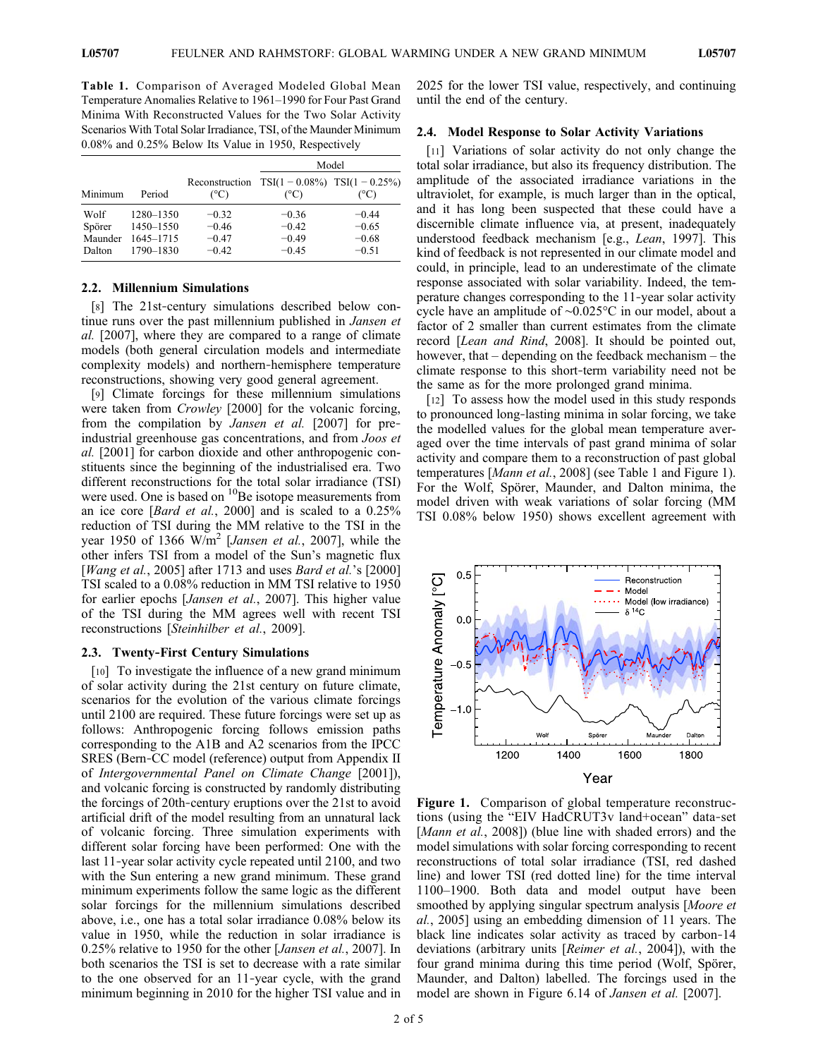Table 1. Comparison of Averaged Modeled Global Mean Temperature Anomalies Relative to 1961–1990 for Four Past Grand Minima With Reconstructed Values for the Two Solar Activity Scenarios With Total Solar Irradiance, TSI, of the Maunder Minimum 0.08% and 0.25% Below Its Value in 1950, Respectively

|                                     |                                                  |                                          | Model                                                |                                          |
|-------------------------------------|--------------------------------------------------|------------------------------------------|------------------------------------------------------|------------------------------------------|
| Minimum                             | Period                                           | Reconstruction<br>$(^{\circ}C)$          | $TSI(1 - 0.08\%)$ $TSI(1 - 0.25\%)$<br>$(^{\circ}C)$ | (°C)                                     |
| Wolf<br>Spörer<br>Maunder<br>Dalton | 1280-1350<br>1450-1550<br>1645-1715<br>1790-1830 | $-0.32$<br>$-0.46$<br>$-0.47$<br>$-0.42$ | $-0.36$<br>$-0.42$<br>$-0.49$<br>$-0.45$             | $-0.44$<br>$-0.65$<br>$-0.68$<br>$-0.51$ |

### 2.2. Millennium Simulations

[8] The 21st-century simulations described below continue runs over the past millennium published in *Jansen et* al. [2007], where they are compared to a range of climate models (both general circulation models and intermediate complexity models) and northern‐hemisphere temperature reconstructions, showing very good general agreement.

[9] Climate forcings for these millennium simulations were taken from *Crowley* [2000] for the volcanic forcing, from the compilation by *Jansen et al.* [2007] for preindustrial greenhouse gas concentrations, and from Joos et al. [2001] for carbon dioxide and other anthropogenic constituents since the beginning of the industrialised era. Two different reconstructions for the total solar irradiance (TSI) were used. One is based on <sup>10</sup>Be isotope measurements from an ice core [Bard et al., 2000] and is scaled to a 0.25% reduction of TSI during the MM relative to the TSI in the year 1950 of 1366  $W/m^2$  [*Jansen et al.*, 2007], while the other infers TSI from a model of the Sun's magnetic flux [*Wang et al.*, 2005] after 1713 and uses *Bard et al.*'s [2000] TSI scaled to a 0.08% reduction in MM TSI relative to 1950 for earlier epochs [Jansen et al., 2007]. This higher value of the TSI during the MM agrees well with recent TSI reconstructions [Steinhilber et al., 2009].

### 2.3. Twenty‐First Century Simulations

[10] To investigate the influence of a new grand minimum of solar activity during the 21st century on future climate, scenarios for the evolution of the various climate forcings until 2100 are required. These future forcings were set up as follows: Anthropogenic forcing follows emission paths corresponding to the A1B and A2 scenarios from the IPCC SRES (Bern‐CC model (reference) output from Appendix II of Intergovernmental Panel on Climate Change [2001]), and volcanic forcing is constructed by randomly distributing the forcings of 20th‐century eruptions over the 21st to avoid artificial drift of the model resulting from an unnatural lack of volcanic forcing. Three simulation experiments with different solar forcing have been performed: One with the last 11‐year solar activity cycle repeated until 2100, and two with the Sun entering a new grand minimum. These grand minimum experiments follow the same logic as the different solar forcings for the millennium simulations described above, i.e., one has a total solar irradiance 0.08% below its value in 1950, while the reduction in solar irradiance is 0.25% relative to 1950 for the other [Jansen et al., 2007]. In both scenarios the TSI is set to decrease with a rate similar to the one observed for an 11‐year cycle, with the grand minimum beginning in 2010 for the higher TSI value and in

2025 for the lower TSI value, respectively, and continuing until the end of the century.

#### 2.4. Model Response to Solar Activity Variations

[11] Variations of solar activity do not only change the total solar irradiance, but also its frequency distribution. The amplitude of the associated irradiance variations in the ultraviolet, for example, is much larger than in the optical, and it has long been suspected that these could have a discernible climate influence via, at present, inadequately understood feedback mechanism [e.g., Lean, 1997]. This kind of feedback is not represented in our climate model and could, in principle, lead to an underestimate of the climate response associated with solar variability. Indeed, the temperature changes corresponding to the 11‐year solar activity cycle have an amplitude of ∼0.025°C in our model, about a factor of 2 smaller than current estimates from the climate record [Lean and Rind, 2008]. It should be pointed out, however, that – depending on the feedback mechanism – the climate response to this short‐term variability need not be the same as for the more prolonged grand minima.

[12] To assess how the model used in this study responds to pronounced long‐lasting minima in solar forcing, we take the modelled values for the global mean temperature averaged over the time intervals of past grand minima of solar activity and compare them to a reconstruction of past global temperatures [Mann et al., 2008] (see Table 1 and Figure 1). For the Wolf, Spörer, Maunder, and Dalton minima, the model driven with weak variations of solar forcing (MM TSI 0.08% below 1950) shows excellent agreement with



Figure 1. Comparison of global temperature reconstructions (using the "EIV HadCRUT3v land+ocean" data‐set [Mann et al., 2008]) (blue line with shaded errors) and the model simulations with solar forcing corresponding to recent reconstructions of total solar irradiance (TSI, red dashed line) and lower TSI (red dotted line) for the time interval 1100–1900. Both data and model output have been smoothed by applying singular spectrum analysis [*Moore et*] al., 2005] using an embedding dimension of 11 years. The black line indicates solar activity as traced by carbon‐14 deviations (arbitrary units [Reimer et al., 2004]), with the four grand minima during this time period (Wolf, Spörer, Maunder, and Dalton) labelled. The forcings used in the model are shown in Figure 6.14 of *Jansen et al.* [2007].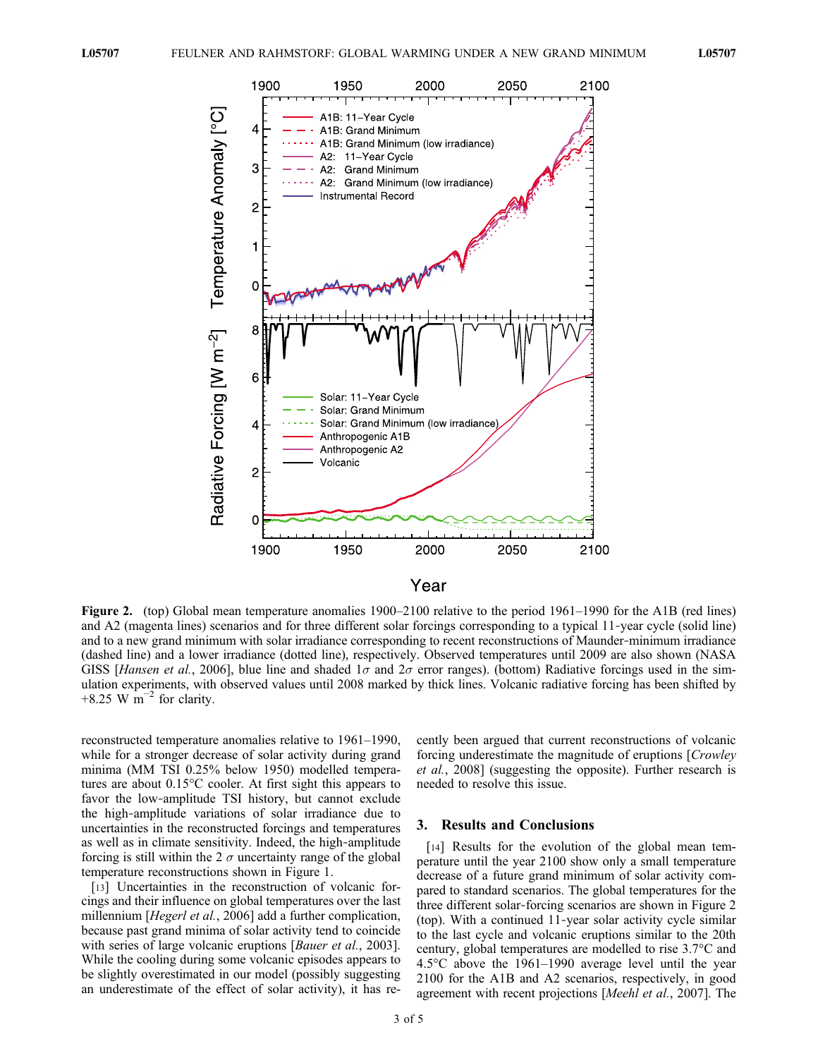

Figure 2. (top) Global mean temperature anomalies 1900–2100 relative to the period 1961–1990 for the A1B (red lines) and A2 (magenta lines) scenarios and for three different solar forcings corresponding to a typical 11-year cycle (solid line) and to a new grand minimum with solar irradiance corresponding to recent reconstructions of Maunder‐minimum irradiance (dashed line) and a lower irradiance (dotted line), respectively. Observed temperatures until 2009 are also shown (NASA GISS [Hansen et al., 2006], blue line and shaded  $1\sigma$  and  $2\sigma$  error ranges). (bottom) Radiative forcings used in the simulation experiments, with observed values until 2008 marked by thick lines. Volcanic radiative forcing has been shifted by +8.25 W  $\text{m}^{-2}$  for clarity.

reconstructed temperature anomalies relative to 1961–1990, while for a stronger decrease of solar activity during grand minima (MM TSI 0.25% below 1950) modelled temperatures are about 0.15°C cooler. At first sight this appears to favor the low-amplitude TSI history, but cannot exclude the high‐amplitude variations of solar irradiance due to uncertainties in the reconstructed forcings and temperatures as well as in climate sensitivity. Indeed, the high‐amplitude forcing is still within the 2  $\sigma$  uncertainty range of the global temperature reconstructions shown in Figure 1.

[13] Uncertainties in the reconstruction of volcanic forcings and their influence on global temperatures over the last millennium [Hegerl et al., 2006] add a further complication, because past grand minima of solar activity tend to coincide with series of large volcanic eruptions [Bauer et al., 2003]. While the cooling during some volcanic episodes appears to be slightly overestimated in our model (possibly suggesting an underestimate of the effect of solar activity), it has recently been argued that current reconstructions of volcanic forcing underestimate the magnitude of eruptions [Crowley et al., 2008] (suggesting the opposite). Further research is needed to resolve this issue.

# 3. Results and Conclusions

[14] Results for the evolution of the global mean temperature until the year 2100 show only a small temperature decrease of a future grand minimum of solar activity compared to standard scenarios. The global temperatures for the three different solar‐forcing scenarios are shown in Figure 2 (top). With a continued 11‐year solar activity cycle similar to the last cycle and volcanic eruptions similar to the 20th century, global temperatures are modelled to rise 3.7°C and 4.5°C above the 1961–1990 average level until the year 2100 for the A1B and A2 scenarios, respectively, in good agreement with recent projections [Meehl et al., 2007]. The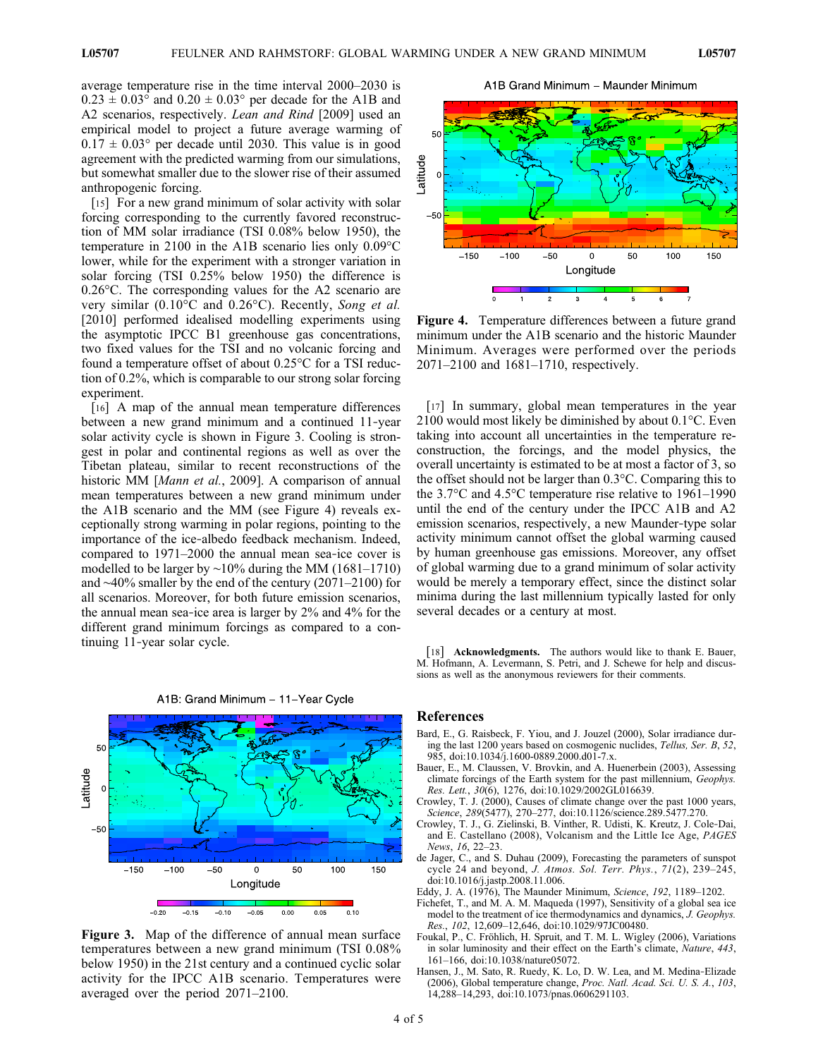average temperature rise in the time interval 2000–2030 is  $0.23 \pm 0.03^{\circ}$  and  $0.20 \pm 0.03^{\circ}$  per decade for the A1B and A2 scenarios, respectively. *Lean and Rind* [2009] used an empirical model to project a future average warming of  $0.17 \pm 0.03^{\circ}$  per decade until 2030. This value is in good agreement with the predicted warming from our simulations, but somewhat smaller due to the slower rise of their assumed anthropogenic forcing.

[15] For a new grand minimum of solar activity with solar forcing corresponding to the currently favored reconstruction of MM solar irradiance (TSI 0.08% below 1950), the temperature in 2100 in the A1B scenario lies only 0.09°C lower, while for the experiment with a stronger variation in solar forcing (TSI 0.25% below 1950) the difference is 0.26°C. The corresponding values for the A2 scenario are very similar (0.10°C and 0.26°C). Recently, Song et al. [2010] performed idealised modelling experiments using the asymptotic IPCC B1 greenhouse gas concentrations, two fixed values for the TSI and no volcanic forcing and found a temperature offset of about 0.25°C for a TSI reduction of 0.2%, which is comparable to our strong solar forcing experiment.

[16] A map of the annual mean temperature differences between a new grand minimum and a continued 11‐year solar activity cycle is shown in Figure 3. Cooling is strongest in polar and continental regions as well as over the Tibetan plateau, similar to recent reconstructions of the historic MM [Mann et al., 2009]. A comparison of annual mean temperatures between a new grand minimum under the A1B scenario and the MM (see Figure 4) reveals exceptionally strong warming in polar regions, pointing to the importance of the ice-albedo feedback mechanism. Indeed, compared to 1971–2000 the annual mean sea‐ice cover is modelled to be larger by ∼10% during the MM (1681–1710) and ∼40% smaller by the end of the century (2071–2100) for all scenarios. Moreover, for both future emission scenarios, the annual mean sea‐ice area is larger by 2% and 4% for the different grand minimum forcings as compared to a continuing 11‐year solar cycle.



A1B: Grand Minimum - 11-Year Cycle

Figure 3. Map of the difference of annual mean surface temperatures between a new grand minimum (TSI 0.08% below 1950) in the 21st century and a continued cyclic solar activity for the IPCC A1B scenario. Temperatures were averaged over the period 2071–2100.

A1B Grand Minimum - Maunder Minimum



Figure 4. Temperature differences between a future grand minimum under the A1B scenario and the historic Maunder Minimum. Averages were performed over the periods 2071–2100 and 1681–1710, respectively.

[17] In summary, global mean temperatures in the year 2100 would most likely be diminished by about 0.1°C. Even taking into account all uncertainties in the temperature reconstruction, the forcings, and the model physics, the overall uncertainty is estimated to be at most a factor of 3, so the offset should not be larger than 0.3°C. Comparing this to the 3.7°C and 4.5°C temperature rise relative to 1961–1990 until the end of the century under the IPCC A1B and A2 emission scenarios, respectively, a new Maunder‐type solar activity minimum cannot offset the global warming caused by human greenhouse gas emissions. Moreover, any offset of global warming due to a grand minimum of solar activity would be merely a temporary effect, since the distinct solar minima during the last millennium typically lasted for only several decades or a century at most.

[18] **Acknowledgments.** The authors would like to thank E. Bauer, M. Hofmann, A. Levermann, S. Petri, and J. Schewe for help and discussions as well as the anonymous reviewers for their comments.

#### References

- Bard, E., G. Raisbeck, F. Yiou, and J. Jouzel (2000), Solar irradiance during the last 1200 years based on cosmogenic nuclides, Tellus, Ser. B, 52, 985, doi:10.1034/j.1600-0889.2000.d01-7.x.
- Bauer, E., M. Claussen, V. Brovkin, and A. Huenerbein (2003), Assessing climate forcings of the Earth system for the past millennium, Geophys. Res. Lett.,  $30(6)$ , 1276, doi:10.1029/2002GL016639.
- Crowley, T. J. (2000), Causes of climate change over the past 1000 years, Science, 289(5477), 270–277, doi:10.1126/science.289.5477.270.
- Crowley, T. J., G. Zielinski, B. Vinther, R. Udisti, K. Kreutz, J. Cole‐Dai, and E. Castellano (2008), Volcanism and the Little Ice Age, PAGES News, 16, 22–23.
- de Jager, C., and S. Duhau (2009), Forecasting the parameters of sunspot cycle 24 and beyond, J. Atmos. Sol. Terr. Phys., 71(2), 239–245, doi:10.1016/j.jastp.2008.11.006.

Eddy, J. A. (1976), The Maunder Minimum, Science, 192, 1189–1202.

- Fichefet, T., and M. A. M. Maqueda (1997), Sensitivity of a global sea ice model to the treatment of ice thermodynamics and dynamics, J. Geophys. Res., 102, 12,609–12,646, doi:10.1029/97JC00480.
- Foukal, P., C. Fröhlich, H. Spruit, and T. M. L. Wigley (2006), Variations in solar luminosity and their effect on the Earth's climate, Nature, 443, 161–166, doi:10.1038/nature05072.
- Hansen, J., M. Sato, R. Ruedy, K. Lo, D. W. Lea, and M. Medina‐Elizade (2006), Global temperature change, Proc. Natl. Acad. Sci. U. S. A., 103, 14,288–14,293, doi:10.1073/pnas.0606291103.